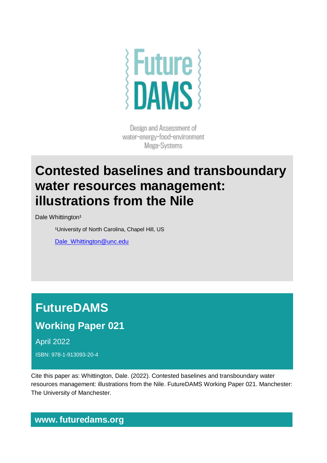

Design and Assessment of water-energy-food-environment Mega-Systems

## **Contested baselines and transboundary water resources management: illustrations from the Nile**

Dale Whittington<sup>1</sup>

<sup>1</sup>University of North Carolina, Chapel Hill, US

[Dale\\_Whittington@unc.edu](mailto:Dale_Whittington@unc.edu)

# **FutureDAMS**

### **Working Paper 021**

April 2022

ISBN: 978-1-913093-20-4

Cite this paper as: Whittington, Dale. (2022). Contested baselines and transboundary water resources management: illustrations from the Nile. FutureDAMS Working Paper 021. Manchester: The University of Manchester.

#### **www. futuredams.org**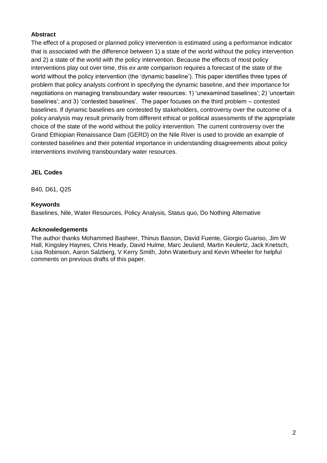#### **Abstract**

The effect of a proposed or planned policy intervention is estimated using a performance indicator that is associated with the difference between 1) a state of the world without the policy intervention and 2) a state of the world with the policy intervention. Because the effects of most policy interventions play out over time, this *ex ante* comparison requires a forecast of the state of the world without the policy intervention (the 'dynamic baseline'). This paper identifies three types of problem that policy analysts confront in specifying the dynamic baseline, and their importance for negotiations on managing transboundary water resources: 1) 'unexamined baselines'; 2) 'uncertain baselines'; and 3) 'contested baselines'. The paper focuses on the third problem – contested baselines. If dynamic baselines are contested by stakeholders, controversy over the outcome of a policy analysis may result primarily from different ethical or political assessments of the appropriate choice of the state of the world without the policy intervention. The current controversy over the Grand Ethiopian Renaissance Dam (GERD) on the Nile River is used to provide an example of contested baselines and their potential importance in understanding disagreements about policy interventions involving transboundary water resources.

#### **JEL Codes**

B40, D61, Q25

#### **Keywords**

Baselines, Nile, Water Resources, Policy Analysis, Status quo, Do Nothing Alternative

#### **Acknowledgements**

The author thanks Mohammed Basheer, Thinus Basson, David Fuente, Giorgio Guariso, Jim W Hall, Kingsley Haynes, Chris Heady, David Hulme, Marc Jeuland, Martin Keulertz, Jack Knetsch, Lisa Robinson, Aaron Salzberg, V Kerry Smith, John Waterbury and Kevin Wheeler for helpful comments on previous drafts of this paper.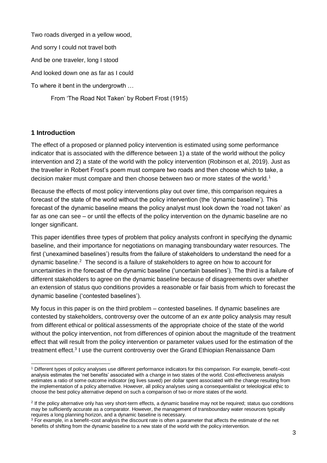Two roads diverged in a yellow wood,

And sorry I could not travel both

And be one traveler, long I stood

And looked down one as far as I could

To where it bent in the undergrowth …

From 'The Road Not Taken' by Robert Frost (1915)

#### **1 Introduction**

The effect of a proposed or planned policy intervention is estimated using some performance indicator that is associated with the difference between 1) a state of the world without the policy intervention and 2) a state of the world with the policy intervention (Robinson et al, 2019). Just as the traveller in Robert Frost's poem must compare two roads and then choose which to take, a decision maker must compare and then choose between two or more states of the world.<sup>1</sup>

Because the effects of most policy interventions play out over time, this comparison requires a forecast of the state of the world without the policy intervention (the 'dynamic baseline'). This forecast of the dynamic baseline means the policy analyst must look down the 'road not taken' as far as one can see – or until the effects of the policy intervention on the dynamic baseline are no longer significant.

This paper identifies three types of problem that policy analysts confront in specifying the dynamic baseline, and their importance for negotiations on managing transboundary water resources. The first ('unexamined baselines') results from the failure of stakeholders to understand the need for a dynamic baseline.<sup>2</sup> The second is a failure of stakeholders to agree on how to account for uncertainties in the forecast of the dynamic baseline ('uncertain baselines'). The third is a failure of different stakeholders to agree on the dynamic baseline because of disagreements over whether an extension of status quo conditions provides a reasonable or fair basis from which to forecast the dynamic baseline ('contested baselines').

My focus in this paper is on the third problem – contested baselines. If dynamic baselines are contested by stakeholders, controversy over the outcome of an *ex ante* policy analysis may result from different ethical or political assessments of the appropriate choice of the state of the world without the policy intervention, not from differences of opinion about the magnitude of the treatment effect that will result from the policy intervention or parameter values used for the estimation of the treatment effect.<sup>3</sup> I use the current controversy over the Grand Ethiopian Renaissance Dam

<sup>-</sup><sup>1</sup> Different types of policy analyses use different performance indicators for this comparison. For example, benefit–cost analysis estimates the 'net benefits' associated with a change in two states of the world. Cost-effectiveness analysis estimates a ratio of some outcome indicator (eg lives saved) per dollar spent associated with the change resulting from the implementation of a policy alternative. However, all policy analyses using a consequentialist or teleological ethic to choose the best policy alternative depend on such a comparison of two or more states of the world.

<sup>&</sup>lt;sup>2</sup> If the policy alternative only has very short-term effects, a dynamic baseline may not be required; status quo conditions may be sufficiently accurate as a comparator. However, the management of transboundary water resources typically requires a long planning horizon, and a dynamic baseline is necessary.

<sup>&</sup>lt;sup>3</sup> For example, in a benefit–cost analysis the discount rate is often a parameter that affects the estimate of the net benefits of shifting from the dynamic baseline to a new state of the world with the policy intervention.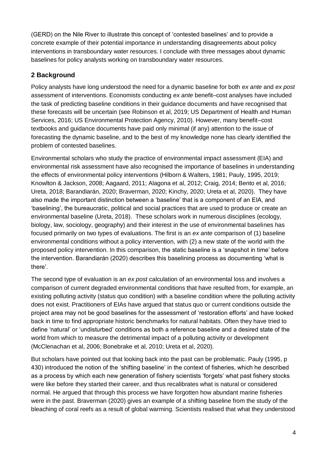(GERD) on the Nile River to illustrate this concept of 'contested baselines' and to provide a concrete example of their potential importance in understanding disagreements about policy interventions in transboundary water resources. I conclude with three messages about dynamic baselines for policy analysts working on transboundary water resources.

#### **2 Background**

Policy analysts have long understood the need for a dynamic baseline for both *ex ante* and *ex post* assessment of interventions. Economists conducting *ex ante* benefit–cost analyses have included the task of predicting baseline conditions in their guidance documents and have recognised that these forecasts will be uncertain (see Robinson et al, 2019; US Department of Health and Human Services, 2016; US Environmental Protection Agency, 2010). However, many benefit–cost textbooks and guidance documents have paid only minimal (if any) attention to the issue of forecasting the dynamic baseline, and to the best of my knowledge none has clearly identified the problem of contested baselines.

Environmental scholars who study the practice of environmental impact assessment (EIA) and environmental risk assessment have also recognised the importance of baselines in understanding the effects of environmental policy interventions (Hilborn & Walters, 1981; Pauly, 1995, 2019; Knowlton & Jackson, 2008; Aagaard, 2011; Alagona et al, 2012; Craig, 2014; Bento et al, 2016; Ureta, 2018; Barandiarán, 2020; Braverman, 2020; Kinchy, 2020; Ureta et al, 2020). They have also made the important distinction between a 'baseline' that is a component of an EIA, and 'baselining', the bureaucratic, political and social practices that are used to produce or create an environmental baseline (Ureta, 2018). These scholars work in numerous disciplines (ecology, biology, law, sociology, geography) and their interest in the use of environmental baselines has focused primarily on two types of evaluations. The first is an *ex ante* comparison of (1) baseline environmental conditions without a policy intervention, with (2) a new state of the world with the proposed policy intervention. In this comparison, the static baseline is a 'snapshot in time' before the intervention. Barandiarán (2020) describes this baselining process as documenting 'what is there'.

The second type of evaluation is an *ex post* calculation of an environmental loss and involves a comparison of current degraded environmental conditions that have resulted from, for example, an existing polluting activity (status quo condition) with a baseline condition where the polluting activity does not exist. Practitioners of EIAs have argued that status quo or current conditions outside the project area may not be good baselines for the assessment of 'restoration efforts' and have looked back in time to find appropriate historic benchmarks for natural habitats. Often they have tried to define 'natural' or 'undisturbed' conditions as both a reference baseline and a desired state of the world from which to measure the detrimental impact of a polluting activity or development (McClenachan et al, 2006; Bonebrake et al, 2010; Ureta et al, 2020).

But scholars have pointed out that looking back into the past can be problematic. Pauly (1995, p 430) introduced the notion of the 'shifting baseline' in the context of fisheries, which he described as a process by which each new generation of fishery scientists 'forgets' what past fishery stocks were like before they started their career, and thus recalibrates what is natural or considered normal. He argued that through this process we have forgotten how abundant marine fisheries were in the past. Braverman (2020) gives an example of a shifting baseline from the study of the bleaching of coral reefs as a result of global warming. Scientists realised that what they understood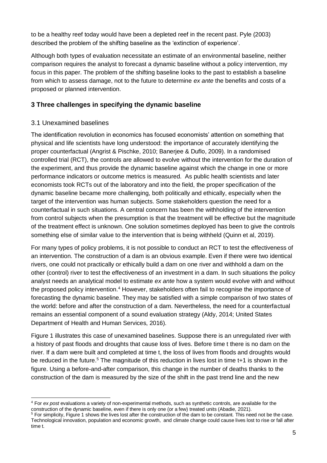to be a healthy reef today would have been a depleted reef in the recent past. Pyle (2003) described the problem of the shifting baseline as the 'extinction of experience'.

Although both types of evaluation necessitate an estimate of an environmental baseline, neither comparison requires the analyst to forecast a dynamic baseline without a policy intervention, my focus in this paper. The problem of the shifting baseline looks to the past to establish a baseline from which to assess damage, not to the future to determine *ex ante* the benefits and costs of a proposed or planned intervention.

#### **3 Three challenges in specifying the dynamic baseline**

#### 3.1 Unexamined baselines

The identification revolution in economics has focused economists' attention on something that physical and life scientists have long understood: the importance of accurately identifying the proper counterfactual (Angrist & Pischke, 2010; Banerjee & Duflo, 2009). In a randomised controlled trial (RCT), the controls are allowed to evolve without the intervention for the duration of the experiment, and thus provide the dynamic baseline against which the change in one or more performance indicators or outcome metrics is measured. As public health scientists and later economists took RCTs out of the laboratory and into the field, the proper specification of the dynamic baseline became more challenging, both politically and ethically, especially when the target of the intervention was human subjects. Some stakeholders question the need for a counterfactual in such situations. A central concern has been the withholding of the intervention from control subjects when the presumption is that the treatment will be effective but the magnitude of the treatment effect is unknown. One solution sometimes deployed has been to give the controls something else of similar value to the intervention that is being withheld (Quinn et al, 2019).

For many types of policy problems, it is not possible to conduct an RCT to test the effectiveness of an intervention. The construction of a dam is an obvious example. Even if there were two identical rivers, one could not practically or ethically build a dam on one river and withhold a dam on the other (control) river to test the effectiveness of an investment in a dam. In such situations the policy analyst needs an analytical model to estimate *ex ante* how a system would evolve with and without the proposed policy intervention.<sup>4</sup> However, stakeholders often fail to recognise the importance of forecasting the dynamic baseline. They may be satisfied with a simple comparison of two states of the world: before and after the construction of a dam. Nevertheless, the need for a counterfactual remains an essential component of a sound evaluation strategy (Aldy, 2014; United States Department of Health and Human Services, 2016).

Figure 1 illustrates this case of unexamined baselines. Suppose there is an unregulated river with a history of past floods and droughts that cause loss of lives. Before time t there is no dam on the river. If a dam were built and completed at time t, the loss of lives from floods and droughts would be reduced in the future.<sup>5</sup> The magnitude of this reduction in lives lost in time t+1 is shown in the figure. Using a before-and-after comparison, this change in the number of deaths thanks to the construction of the dam is measured by the size of the shift in the past trend line and the new

<sup>-</sup><sup>4</sup> For *ex post* evaluations a variety of non-experimental methods, such as synthetic controls, are available for the construction of the dynamic baseline, even if there is only one (or a few) treated units (Abadie, 2021).

<sup>&</sup>lt;sup>5</sup> For simplicity, Figure 1 shows the lives lost after the construction of the dam to be constant. This need not be the case. Technological innovation, population and economic growth, and climate change could cause lives lost to rise or fall after time t.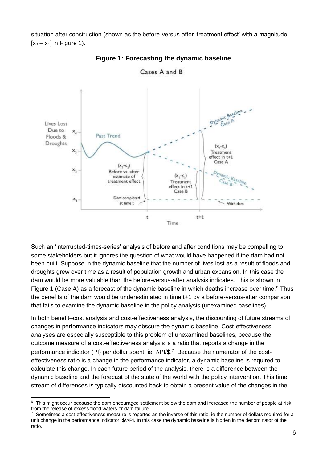situation after construction (shown as the before-versus-after 'treatment effect' with a magnitude  $[x_3 - x_1]$  in Figure 1).



**Figure 1: Forecasting the dynamic baseline**

Such an 'interrupted-times-series' analysis of before and after conditions may be compelling to some stakeholders but it ignores the question of what would have happened if the dam had not been built. Suppose in the dynamic baseline that the number of lives lost as a result of floods and droughts grew over time as a result of population growth and urban expansion. In this case the dam would be more valuable than the before-versus-after analysis indicates. This is shown in Figure 1 (Case A) as a forecast of the dynamic baseline in which deaths increase over time.<sup>6</sup> Thus the benefits of the dam would be underestimated in time t+1 by a before-versus-after comparison that fails to examine the dynamic baseline in the policy analysis (unexamined baselines).

In both benefit–cost analysis and cost-effectiveness analysis, the discounting of future streams of changes in performance indicators may obscure the dynamic baseline. Cost-effectiveness analyses are especially susceptible to this problem of unexamined baselines, because the outcome measure of a cost-effectiveness analysis is a ratio that reports a change in the performance indicator (PI) per dollar spent, ie,  $\Delta$ PI/\$.<sup>7</sup> Because the numerator of the costeffectiveness ratio is a change in the performance indicator, a dynamic baseline is required to calculate this change. In each future period of the analysis, there is a difference between the dynamic baseline and the forecast of the state of the world with the policy intervention. This time stream of differences is typically discounted back to obtain a present value of the changes in the

<sup>-</sup> $6$  This might occur because the dam encouraged settlement below the dam and increased the number of people at risk from the release of excess flood waters or dam failure.

<sup>7</sup> Sometimes a cost-effectiveness measure is reported as the inverse of this ratio, ie the number of dollars required for a unit change in the performance indicator,  $\frac{C}{2}$ PI. In this case the dynamic baseline is hidden in the denominator of the ratio.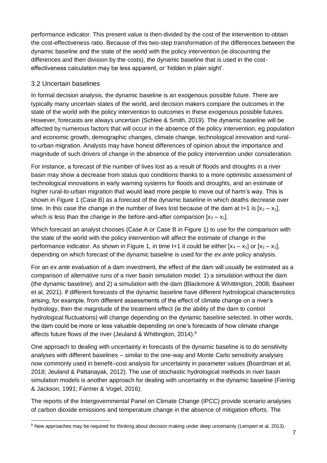performance indicator. This present value is then divided by the cost of the intervention to obtain the cost-effectiveness ratio. Because of this two-step transformation of the differences between the dynamic baseline and the state of the world with the policy intervention (ie discounting the differences and then division by the costs), the dynamic baseline that is used in the costeffectiveness calculation may be less apparent, or 'hidden in plain sight'.

#### 3.2 Uncertain baselines

In formal decision analysis, the dynamic baseline is an exogenous possible future. There are typically many uncertain states of the world, and decision makers compare the outcomes in the state of the world with the policy intervention to outcomes in these exogenous possible futures. However, forecasts are always uncertain (Schlee & Smith, 2019). The dynamic baseline will be affected by numerous factors that will occur in the absence of the policy intervention, eg population and economic growth, demographic changes, climate change, technological innovation and ruralto-urban migration. Analysts may have honest differences of opinion about the importance and magnitude of such drivers of change in the absence of the policy intervention under consideration.

For instance, a forecast of the number of lives lost as a result of floods and droughts in a river basin may show a decrease from status quo conditions thanks to a more optimistic assessment of technological innovations in early warning systems for floods and droughts, and an estimate of higher rural-to-urban migration that would lead more people to move out of harm's way. This is shown in Figure 1 (Case B) as a forecast of the dynamic baseline in which deaths decrease over time. In this case the change in the number of lives lost because of the dam at t+1 is  $[x_2 - x_1]$ , which is less than the change in the before-and-after comparison  $[x_3 - x_1]$ .

Which forecast an analyst chooses (Case A or Case B in Figure 1) to use for the comparison with the state of the world with the policy intervention will affect the estimate of change in the performance indicator. As shown in Figure 1, in time t+1 it could be either  $[x_4 - x_1]$  or  $[x_2 - x_1]$ , depending on which forecast of the dynamic baseline is used for the *ex ante* policy analysis.

For an *ex ante* evaluation of a dam investment, the effect of the dam will usually be estimated as a comparison of alternative runs of a river basin simulation model: 1) a simulation without the dam (the dynamic baseline); and 2) a simulation with the dam (Blackmore & Whittington, 2008; Basheer et al, 2021). If different forecasts of the dynamic baseline have different hydrological characteristics arising, for example, from different assessments of the effect of climate change on a river's hydrology, then the magnitude of the treatment effect (ie the ability of the dam to control hydrological fluctuations) will change depending on the dynamic baseline selected. In other words, the dam could be more or less valuable depending on one's forecasts of how climate change affects future flows of the river (Jeuland & Whittington, 2014).<sup>8</sup>

One approach to dealing with uncertainty in forecasts of the dynamic baseline is to do sensitivity analyses with different baselines – similar to the one-way and Monte Carlo sensitivity analyses now commonly used in benefit–cost analysis for uncertainty in parameter values (Boardman et al, 2018; Jeuland & Pattanayak, 2012). The use of stochastic hydrological methods in river basin simulation models is another approach for dealing with uncertainty in the dynamic baseline (Fiering & Jackson, 1991; Farmer & Vogel, 2016).

The reports of the Intergovernmental Panel on Climate Change (IPCC) provide scenario analyses of carbon dioxide emissions and temperature change in the absence of mitigation efforts. The

<sup>-</sup><sup>8</sup> New approaches may be required for thinking about decision making under deep uncertainty (Lempert et al, 2013).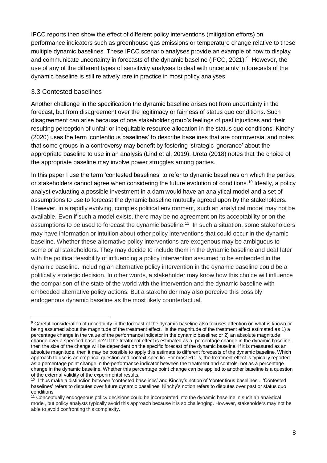IPCC reports then show the effect of different policy interventions (mitigation efforts) on performance indicators such as greenhouse gas emissions or temperature change relative to these multiple dynamic baselines. These IPCC scenario analyses provide an example of how to display and communicate uncertainty in forecasts of the dynamic baseline (IPCC, 2021).<sup>9</sup> However, the use of any of the different types of sensitivity analyses to deal with uncertainty in forecasts of the dynamic baseline is still relatively rare in practice in most policy analyses.

#### 3.3 Contested baselines

Another challenge in the specification the dynamic baseline arises not from uncertainty in the forecast, but from disagreement over the legitimacy or fairness of status quo conditions. Such disagreement can arise because of one stakeholder group's feelings of past injustices and their resulting perception of unfair or inequitable resource allocation in the status quo conditions. Kinchy (2020) uses the term 'contentious baselines' to describe baselines that are controversial and notes that some groups in a controversy may benefit by fostering 'strategic ignorance' about the appropriate baseline to use in an analysis (Lind et al, 2019). Ureta (2018) notes that the choice of the appropriate baseline may involve power struggles among parties.

In this paper I use the term 'contested baselines' to refer to dynamic baselines on which the parties or stakeholders cannot agree when considering the future evolution of conditions.<sup>10</sup> Ideally, a policy analyst evaluating a possible investment in a dam would have an analytical model and a set of assumptions to use to forecast the dynamic baseline mutually agreed upon by the stakeholders. However, in a rapidly evolving, complex political environment, such an analytical model may not be available. Even if such a model exists, there may be no agreement on its acceptability or on the assumptions to be used to forecast the dynamic baseline.<sup>11</sup> In such a situation, some stakeholders may have information or intuition about other policy interventions that could occur in the dynamic baseline. Whether these alternative policy interventions are exogenous may be ambiguous to some or all stakeholders. They may decide to include them in the dynamic baseline and deal later with the political feasibility of influencing a policy intervention assumed to be embedded in the dynamic baseline. Including an alternative policy intervention in the dynamic baseline could be a politically strategic decision. In other words, a stakeholder may know how this choice will influence the comparison of the state of the world with the intervention and the dynamic baseline with embedded alternative policy actions. But a stakeholder may also perceive this possibly endogenous dynamic baseline as the most likely counterfactual.

<sup>-</sup><sup>9</sup> Careful consideration of uncertainty in the forecast of the dynamic baseline also focuses attention on what is known or being assumed about the magnitude of the treatment effect. Is the magnitude of the treatment effect estimated as 1) a percentage change in the value of the performance indicator in the dynamic baseline; or 2) an absolute magnitude change over a specified baseline? If the treatment effect is estimated as a percentage change in the dynamic baseline, then the size of the change will be dependent on the specific forecast of the dynamic baseline. If it is measured as an absolute magnitude, then it may be possible to apply this estimate to different forecasts of the dynamic baseline. Which approach to use is an empirical question and context-specific. For most RCTs, the treatment effect is typically reported as a percentage point change in the performance indicator between the treatment and controls, not as a percentage change in the dynamic baseline. Whether this percentage point change can be applied to another baseline is a question of the external validity of the experimental results.

<sup>&</sup>lt;sup>10</sup> I thus make a distinction between 'contested baselines' and Kinchy's notion of 'contentious baselines'. 'Contested baselines' refers to disputes over future dynamic baselines; Kinchy's notion refers to disputes over past or status quo conditions.

<sup>11</sup> Conceptually endogenous policy decisions could be incorporated into the dynamic baseline in such an analytical model, but policy analysts typically avoid this approach because it is so challenging. However, stakeholders may not be able to avoid confronting this complexity.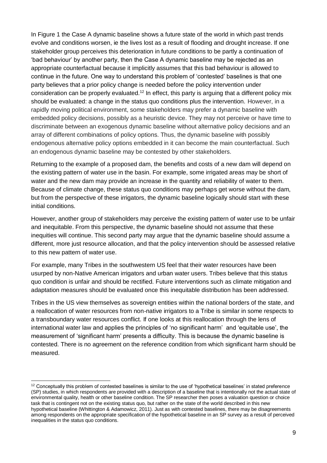In Figure 1 the Case A dynamic baseline shows a future state of the world in which past trends evolve and conditions worsen, ie the lives lost as a result of flooding and drought increase. If one stakeholder group perceives this deterioration in future conditions to be partly a continuation of 'bad behaviour' by another party, then the Case A dynamic baseline may be rejected as an appropriate counterfactual because it implicitly assumes that this bad behaviour is allowed to continue in the future. One way to understand this problem of 'contested' baselines is that one party believes that a prior policy change is needed before the policy intervention under consideration can be properly evaluated.<sup>12</sup> In effect, this party is arguing that a different policy mix should be evaluated: a change in the status quo conditions plus the intervention. However, in a rapidly moving political environment, some stakeholders may prefer a dynamic baseline with embedded policy decisions, possibly as a heuristic device. They may not perceive or have time to discriminate between an exogenous dynamic baseline without alternative policy decisions and an array of different combinations of policy options. Thus, the dynamic baseline with possibly endogenous alternative policy options embedded in it can become the main counterfactual. Such an endogenous dynamic baseline may be contested by other stakeholders.

Returning to the example of a proposed dam, the benefits and costs of a new dam will depend on the existing pattern of water use in the basin. For example, some irrigated areas may be short of water and the new dam may provide an increase in the quantity and reliability of water to them. Because of climate change, these status quo conditions may perhaps get worse without the dam, but from the perspective of these irrigators, the dynamic baseline logically should start with these initial conditions.

However, another group of stakeholders may perceive the existing pattern of water use to be unfair and inequitable. From this perspective, the dynamic baseline should not assume that these inequities will continue. This second party may argue that the dynamic baseline should assume a different, more just resource allocation, and that the policy intervention should be assessed relative to this new pattern of water use.

For example, many Tribes in the southwestern US feel that their water resources have been usurped by non-Native American irrigators and urban water users. Tribes believe that this status quo condition is unfair and should be rectified. Future interventions such as climate mitigation and adaptation measures should be evaluated once this inequitable distribution has been addressed.

Tribes in the US view themselves as sovereign entities within the national borders of the state, and a reallocation of water resources from non-native irrigators to a Tribe is similar in some respects to a transboundary water resources conflict. If one looks at this reallocation through the lens of international water law and applies the principles of 'no significant harm' and 'equitable use', the measurement of 'significant harm' presents a difficulty. This is because the dynamic baseline is contested. There is no agreement on the reference condition from which significant harm should be measured.

<sup>-</sup><sup>12</sup> Conceptually this problem of contested baselines is similar to the use of 'hypothetical baselines' in stated preference (SP) studies, in which respondents are provided with a description of a baseline that is intentionally not the actual state of environmental quality, health or other baseline condition. The SP researcher then poses a valuation question or choice task that is contingent not on the existing status quo, but rather on the state of the world described in this new hypothetical baseline (Whittington & Adamowicz, 2011). Just as with contested baselines, there may be disagreements among respondents on the appropriate specification of the hypothetical baseline in an SP survey as a result of perceived inequalities in the status quo conditions.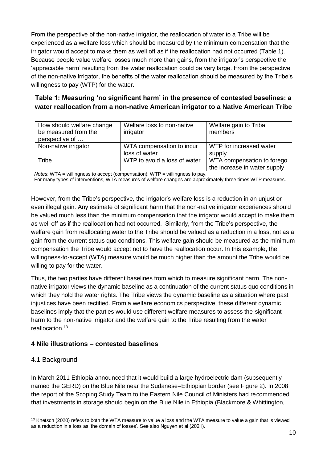From the perspective of the non-native irrigator, the reallocation of water to a Tribe will be experienced as a welfare loss which should be measured by the minimum compensation that the irrigator would accept to make them as well off as if the reallocation had not occurred (Table 1). Because people value welfare losses much more than gains, from the irrigator's perspective the 'appreciable harm' resulting from the water reallocation could be very large. From the perspective of the non-native irrigator, the benefits of the water reallocation should be measured by the Tribe's willingness to pay (WTP) for the water.

#### **Table 1: Measuring 'no significant harm' in the presence of contested baselines: a water reallocation from a non-native American irrigator to a Native American Tribe**

| How should welfare change<br>be measured from the<br>perspective of | Welfare loss to non-native<br>irrigator | Welfare gain to Tribal<br>members |
|---------------------------------------------------------------------|-----------------------------------------|-----------------------------------|
| Non-native irrigator                                                | WTA compensation to incur               | WTP for increased water           |
|                                                                     | loss of water                           | supply                            |
| Tribe                                                               | WTP to avoid a loss of water            | WTA compensation to forego        |
|                                                                     |                                         | the increase in water supply      |

*Notes*: WTA = willingness to accept (compensation); WTP = willingness to pay.

For many types of interventions, WTA measures of welfare changes are approximately three times WTP measures.

However, from the Tribe's perspective, the irrigator's welfare loss is a reduction in an unjust or even illegal gain. Any estimate of significant harm that the non-native irrigator experiences should be valued much less than the minimum compensation that the irrigator would accept to make them as well off as if the reallocation had not occurred. Similarly, from the Tribe's perspective, the welfare gain from reallocating water to the Tribe should be valued as a reduction in a loss, not as a gain from the current status quo conditions. This welfare gain should be measured as the minimum compensation the Tribe would accept not to have the reallocation occur. In this example, the willingness-to-accept (WTA) measure would be much higher than the amount the Tribe would be willing to pay for the water.

Thus, the two parties have different baselines from which to measure significant harm. The nonnative irrigator views the dynamic baseline as a continuation of the current status quo conditions in which they hold the water rights. The Tribe views the dynamic baseline as a situation where past injustices have been rectified. From a welfare economics perspective, these different dynamic baselines imply that the parties would use different welfare measures to assess the significant harm to the non-native irrigator and the welfare gain to the Tribe resulting from the water reallocation.<sup>13</sup>

#### **4 Nile illustrations – contested baselines**

#### 4.1 Background

In March 2011 Ethiopia announced that it would build a large hydroelectric dam (subsequently named the GERD) on the Blue Nile near the Sudanese–Ethiopian border (see Figure 2). In 2008 the report of the Scoping Study Team to the Eastern Nile Council of Ministers had recommended that investments in storage should begin on the Blue Nile in Ethiopia (Blackmore & Whittington,

<sup>-</sup><sup>13</sup> Knetsch (2020) refers to both the WTA measure to value a loss and the WTA measure to value a gain that is viewed as a reduction in a loss as 'the domain of losses'. See also Nguyen et al (2021).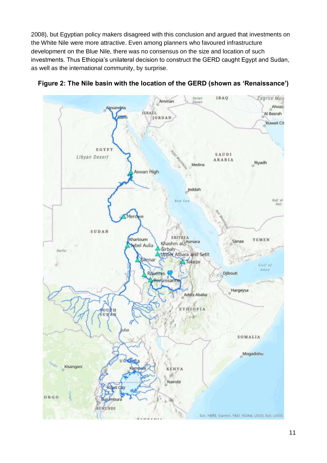2008), but Egyptian policy makers disagreed with this conclusion and argued that investments on the White Nile were more attractive. Even among planners who favoured infrastructure development on the Blue Nile, there was no consensus on the size and location of such investments. Thus Ethiopia's unilateral decision to construct the GERD caught Egypt and Sudan, as well as the international community, by surprise.



**Figure 2: The Nile basin with the location of the GERD (shown as 'Renaissance')**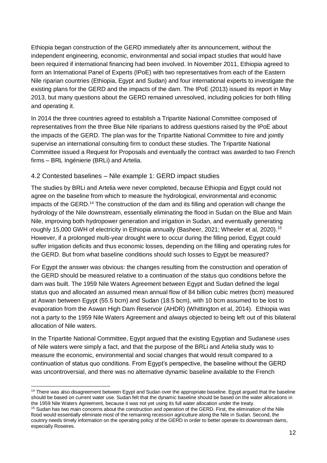Ethiopia began construction of the GERD immediately after its announcement, without the independent engineering, economic, environmental and social impact studies that would have been required if international financing had been involved. In November 2011, Ethiopia agreed to form an International Panel of Experts (IPoE) with two representatives from each of the Eastern Nile riparian countries (Ethiopia, Egypt and Sudan) and four international experts to investigate the existing plans for the GERD and the impacts of the dam. The IPoE (2013) issued its report in May 2013, but many questions about the GERD remained unresolved, including policies for both filling and operating it.

In 2014 the three countries agreed to establish a Tripartite National Committee composed of representatives from the three Blue Nile riparians to address questions raised by the IPoE about the impacts of the GERD. The plan was for the Tripartite National Committee to hire and jointly supervise an international consulting firm to conduct these studies. The Tripartite National Committee issued a Request for Proposals and eventually the contract was awarded to two French firms – BRL Ingénierie (BRLi) and Artelia.

#### 4.2 Contested baselines – Nile example 1: GERD impact studies

The studies by BRLi and Artelia were never completed, because Ethiopia and Egypt could not agree on the baseline from which to measure the hydrological, environmental and economic impacts of the GERD.<sup>14</sup> The construction of the dam and its filling and operation will change the hydrology of the Nile downstream, essentially eliminating the flood in Sudan on the Blue and Main Nile, improving both hydropower generation and irrigation in Sudan, and eventually generating roughly 15,000 GWH of electricity in Ethiopia annually (Basheer, 2021; Wheeler et al, 2020).<sup>15</sup> However, if a prolonged multi-year drought were to occur during the filling period, Egypt could suffer irrigation deficits and thus economic losses, depending on the filling and operating rules for the GERD. But from what baseline conditions should such losses to Egypt be measured?

For Egypt the answer was obvious: the changes resulting from the construction and operation of the GERD should be measured relative to a continuation of the status quo conditions before the dam was built. The 1959 Nile Waters Agreement between Egypt and Sudan defined the legal status quo and allocated an assumed mean annual flow of 84 billion cubic metres (bcm) measured at Aswan between Egypt (55.5 bcm) and Sudan (18.5 bcm), with 10 bcm assumed to be lost to evaporation from the Aswan High Dam Reservoir (AHDR) (Whittington et al, 2014). Ethiopia was not a party to the 1959 Nile Waters Agreement and always objected to being left out of this bilateral allocation of Nile waters.

In the Tripartite National Committee, Egypt argued that the existing Egyptian and Sudanese uses of Nile waters were simply a fact, and that the purpose of the BRLi and Artelia study was to measure the economic, environmental and social changes that would result compared to a continuation of status quo conditions. From Egypt's perspective, the baseline without the GERD was uncontroversial, and there was no alternative dynamic baseline available to the French

-

<sup>&</sup>lt;sup>14</sup> There was also disagreement between Egypt and Sudan over the appropriate baseline. Egypt argued that the baseline should be based on current water use. Sudan felt that the dynamic baseline should be based on the water allocations in the 1959 Nile Waters Agreement, because it was not yet using its full water allocation under the treaty.

<sup>15</sup> Sudan has two main concerns about the construction and operation of the GERD. First, the elimination of the Nile flood would essentially eliminate most of the remaining recession agriculture along the Nile in Sudan. Second, the coutnry needs timely information on the operating policy of the GERD in order to better operate its downstream dams, especially Roseires.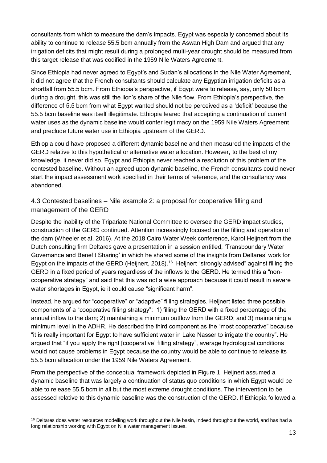consultants from which to measure the dam's impacts. Egypt was especially concerned about its ability to continue to release 55.5 bcm annually from the Aswan High Dam and argued that any irrigation deficits that might result during a prolonged multi-year drought should be measured from this target release that was codified in the 1959 Nile Waters Agreement.

Since Ethiopia had never agreed to Egypt's and Sudan's allocations in the Nile Water Agreement, it did not agree that the French consultants should calculate any Egyptian irrigation deficits as a shortfall from 55.5 bcm. From Ethiopia's perspective, if Egypt were to release, say, only 50 bcm during a drought, this was still the lion's share of the Nile flow. From Ethiopia's perspective, the difference of 5.5 bcm from what Egypt wanted should not be perceived as a 'deficit' because the 55.5 bcm baseline was itself illegitimate. Ethiopia feared that accepting a continuation of current water uses as the dynamic baseline would confer legitimacy on the 1959 Nile Waters Agreement and preclude future water use in Ethiopia upstream of the GERD.

Ethiopia could have proposed a different dynamic baseline and then measured the impacts of the GERD relative to this hypothetical or alternative water allocation. However, to the best of my knowledge, it never did so. Egypt and Ethiopia never reached a resolution of this problem of the contested baseline. Without an agreed upon dynamic baseline, the French consultants could never start the impact assessment work specified in their terms of reference, and the consultancy was abandoned.

4.3 Contested baselines – Nile example 2: a proposal for cooperative filling and management of the GERD

Despite the inability of the Tripariate National Committee to oversee the GERD impact studies, construction of the GERD continued. Attention increasingly focused on the filling and operation of the dam (Wheeler et al, 2016). At the 2018 Cairo Water Week conference, Karol Heijnert from the Dutch consulting firm Deltares gave a presentation in a session entitled, 'Transboundary Water Governance and Benefit Sharing' in which he shared some of the insights from Deltares' work for Egypt on the impacts of the GERD (Heijnert, 2018).<sup>16</sup> Heijnert "strongly advised" against filling the GERD in a fixed period of years regardless of the inflows to the GERD. He termed this a "noncooperative strategy" and said that this was not a wise approach because it could result in severe water shortages in Egypt, ie it could cause "significant harm".

Instead, he argued for "cooperative" or "adaptive" filling strategies. Heijnert listed three possible components of a "cooperative filling strategy": 1) filling the GERD with a fixed percentage of the annual inflow to the dam; 2) maintaining a minimum outflow from the GERD; and 3) maintaining a minimum level in the ADHR. He described the third component as the "most cooperative" because "it is really important for Egypt to have sufficient water in Lake Nasser to irrigate the country". He argued that "if you apply the right [cooperative] filling strategy", average hydrological conditions would not cause problems in Egypt because the country would be able to continue to release its 55.5 bcm allocation under the 1959 Nile Waters Agreement.

From the perspective of the conceptual framework depicted in Figure 1, Heijnert assumed a dynamic baseline that was largely a continuation of status quo conditions in which Egypt would be able to release 55.5 bcm in all but the most extreme drought conditions. The intervention to be assessed relative to this dynamic baseline was the construction of the GERD. If Ethiopia followed a

<sup>-</sup><sup>16</sup> Deltares does water resources modelling work throughout the Nile basin, indeed throughout the world, and has had a long relationship working with Egypt on Nile water management issues.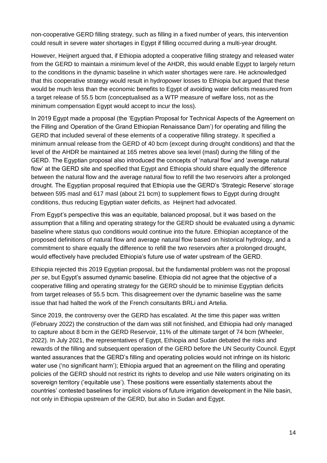non-cooperative GERD filling strategy, such as filling in a fixed number of years, this intervention could result in severe water shortages in Egypt if filling occurred during a multi-year drought.

However, Heijnert argued that, if Ethiopia adopted a cooperative filling strategy and released water from the GERD to maintain a minimum level of the AHDR, this would enable Egypt to largely return to the conditions in the dynamic baseline in which water shortages were rare. He acknowledged that this cooperative strategy would result in hydropower losses to Ethiopia but argued that these would be much less than the economic benefits to Egypt of avoiding water deficits measured from a target release of 55.5 bcm (conceptualised as a WTP measure of welfare loss, not as the minimum compensation Egypt would accept to incur the loss).

In 2019 Egypt made a proposal (the 'Egyptian Proposal for Technical Aspects of the Agreement on the Filling and Operation of the Grand Ethiopian Renaissance Dam') for operating and filling the GERD that included several of these elements of a cooperative filling strategy. It specified a minimum annual release from the GERD of 40 bcm (except during drought conditions) and that the level of the AHDR be maintained at 165 metres above sea level (masl) during the filling of the GERD. The Egyptian proposal also introduced the concepts of 'natural flow' and 'average natural flow' at the GERD site and specified that Egypt and Ethiopia should share equally the difference between the natural flow and the average natural flow to refill the two reservoirs after a prolonged drought. The Egyptian proposal required that Ethiopia use the GERD's 'Strategic Reserve' storage between 595 masl and 617 masl (about 21 bcm) to supplement flows to Egypt during drought conditions, thus reducing Egyptian water deficits, as Heijnert had advocated.

From Egypt's perspective this was an equitable, balanced proposal, but it was based on the assumption that a filling and operating strategy for the GERD should be evaluated using a dynamic baseline where status quo conditions would continue into the future. Ethiopian acceptance of the proposed definitions of natural flow and average natural flow based on historical hydrology, and a commitment to share equally the difference to refill the two reservoirs after a prolonged drought, would effectively have precluded Ethiopia's future use of water upstream of the GERD.

Ethiopia rejected this 2019 Egyptian proposal, but the fundamental problem was not the proposal *per se*, but Egypt's assumed dynamic baseline. Ethiopia did not agree that the objective of a cooperative filling and operating strategy for the GERD should be to minimise Egyptian deficits from target releases of 55.5 bcm. This disagreement over the dynamic baseline was the same issue that had halted the work of the French consultants BRLi and Artelia.

Since 2019, the controversy over the GERD has escalated. At the time this paper was written (February 2022) the construction of the dam was still not finished, and Ethiopia had only managed to capture about 8 bcm in the GERD Reservoir, 11% of the ultimate target of 74 bcm (Wheeler, 2022). In July 2021, the representatives of Egypt, Ethiopia and Sudan debated the risks and rewards of the filling and subsequent operation of the GERD before the UN Security Council. Egypt wanted assurances that the GERD's filling and operating policies would not infringe on its historic water use ('no significant harm'); Ethiopia argued that an agreement on the filling and operating policies of the GERD should not restrict its rights to develop and use Nile waters originating on its sovereign territory ('equitable use'). These positions were essentially statements about the countries' contested baselines for implicit visions of future irrigation development in the Nile basin, not only in Ethiopia upstream of the GERD, but also in Sudan and Egypt.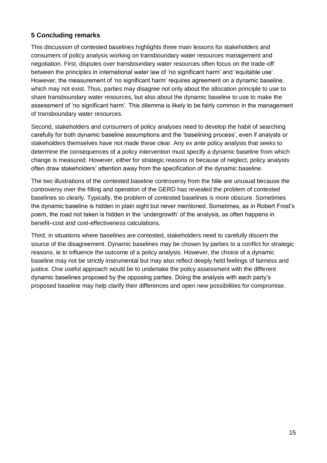#### **5 Concluding remarks**

This discussion of contested baselines highlights three main lessons for stakeholders and consumers of policy analysis working on transboundary water resources management and negotiation. First, disputes over transboundary water resources often focus on the trade-off between the principles in international water law of 'no significant harm' and 'equitable use'. However, the measurement of 'no significant harm' requires agreement on a dynamic baseline, which may not exist. Thus, parties may disagree not only about the allocation principle to use to share transboundary water resources, but also about the dynamic baseline to use to make the assessment of 'no significant harm'. This dilemma is likely to be fairly common in the management of transboundary water resources.

Second, stakeholders and consumers of policy analyses need to develop the habit of searching carefully for both dynamic baseline assumptions and the 'baselining process', even if analysts or stakeholders themselves have not made these clear. Any *ex ante* policy analysis that seeks to determine the consequences of a policy intervention must specify a dynamic baseline from which change is measured. However, either for strategic reasons or because of neglect, policy analysts often draw stakeholders' attention away from the specification of the dynamic baseline.

The two illustrations of the contested baseline controversy from the Nile are unusual because the controversy over the filling and operation of the GERD has revealed the problem of contested baselines so clearly. Typically, the problem of contested baselines is more obscure. Sometimes the dynamic baseline is hidden in plain sight but never mentioned. Sometimes, as in Robert Frost's poem, the road not taken is hidden in the 'undergrowth' of the analysis, as often happens in benefit–cost and cost-effectiveness calculations.

Third, in situations where baselines are contested, stakeholders need to carefully discern the source of the disagreement. Dynamic baselines may be chosen by parties to a conflict for strategic reasons, ie to influence the outcome of a policy analysis. However, the choice of a dynamic baseline may not be strictly instrumental but may also reflect deeply held feelings of fairness and justice. One useful approach would be to undertake the policy assessment with the different dynamic baselines proposed by the opposing parties. Doing the analysis with each party's proposed baseline may help clarify their differences and open new possibilities for compromise.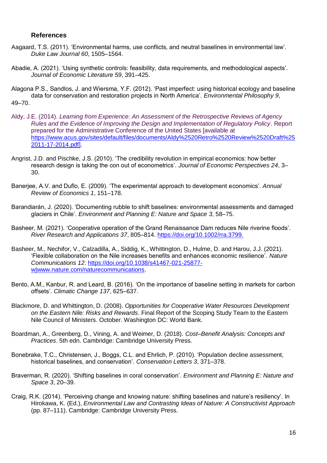#### **References**

- Aagaard, T.S. (2011). 'Environmental harms, use conflicts, and neutral baselines in environmental law'. *Duke Law Journal 60*, 1505–1564.
- Abadie, A. (2021). 'Using synthetic controls: feasibility, data requirements, and methodological aspects'. *Journal of Economic Literature 59*, 391–425.

Alagona P.S., Sandlos, J. and Wiersma, Y.F. (2012). 'Past imperfect: using historical ecology and baseline data for conservation and restoration projects in North America'. *Environmental Philosophy 9*, 49–70.

- Aldy, J.E. (2014). *Learning from Experience: An Assessment of the Retrospective Reviews of Agency Rules and the Evidence of Improving the Design and Implementation of Regulatory Policy*. Report prepared for the Administrative Conference of the United States [available at [https://www.acus.gov/sites/default/files/documents/Aldy%2520Retro%2520Review%2520Draft%25](https://www.acus.gov/sites/default/files/documents/Aldy%2520Retro%2520Review%2520Draft%252011-17-2014.pdf) [2011-17-2014.pdf\]](https://www.acus.gov/sites/default/files/documents/Aldy%2520Retro%2520Review%2520Draft%252011-17-2014.pdf).
- Angrist, J.D. and Pischke, J.S. (2010). 'The credibility revolution in empirical economics: how better research design is taking the con out of econometrics'. *Journal of Economic Perspectives 24*, 3– 30.
- Banerjee, A.V. and Duflo, E. (2009). 'The experimental approach to development economics'. *Annual Review of Economics 1*, 151–178.
- Barandiarán, J. (2020). 'Documenting rubble to shift baselines: environmental assessments and damaged glaciers in Chile'. *Environment and Planning E: Nature and Space 3*, 58–75.
- Basheer, M. (2021). 'Cooperative operation of the Grand Renaissance Dam reduces Nile riverine floods'. *River Research and Applications 37*, 805–814. [https://doi.org/10.1002/rra.3799.](https://doi.org/10.1002/rra.3799)
- Basheer, M., Nechifor, V., Calzadilla, A., Siddig, K., Whittington, D., Hulme, D. and Harou, J.J. (2021). 'Flexible collaboration on the Nile increases benefits and enhances economic resilience'. *Nature Communications 12*. [https://doi.org/10.1038/s41467-021-25877](https://doi.org/10.1038/s41467-021-25877-w|www.nature.com/naturecommunications) [w|www.nature.com/naturecommunications.](https://doi.org/10.1038/s41467-021-25877-w|www.nature.com/naturecommunications)
- Bento, A.M., Kanbur, R. and Leard, B. (2016). 'On the importance of baseline setting in markets for carbon offsets'. *Climatic Change 137*, 625–637.
- Blackmore, D. and Whittington, D*.* (2008). *Opportunities for Cooperative Water Resources Development on the Eastern Nile: Risks and Rewards*. Final Report of the Scoping Study Team to the Eastern Nile Council of Ministers. October. Washington DC: World Bank.
- Boardman, A., Greenberg, D., Vining, A. and Weimer, D. (2018). *Cost–Benefit Analysis: Concepts and Practices*. 5th edn. Cambridge: Cambridge University Press.
- Bonebrake, T.C., Christensen, J., Boggs, C.L. and Ehrlich, P. (2010). 'Population decline assessment, historical baselines, and conservation'. *Conservation Letters 3*, 371–378.
- Braverman, R. (2020). 'Shifting baselines in coral conservation'. *Environment and Planning E: Nature and Space 3*, 20–39.
- Craig, R.K. (2014). 'Perceiving change and knowing nature: shifting baselines and nature's resiliency'. In Hirokawa, K. (Ed.), *Environmental Law and Contrasting Ideas of Nature: A Constructivist Approach* (pp. 87–111). Cambridge: Cambridge University Press.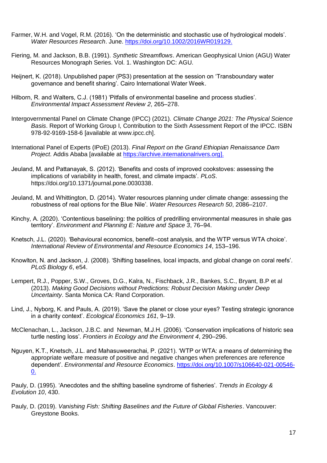- Farmer, W.H. and Vogel, R.M. (2016). 'On the deterministic and stochastic use of hydrological models'. *Water Resources Research*. June. [https://doi.org/10.1002/2016WR019129.](https://doi.org/10.1002/2016WR019129)
- Fiering, M. and Jackson, B.B. (1991). *Synthetic Streamflows*. American Geophysical Union (AGU) Water Resources Monograph Series. Vol. 1. Washington DC: AGU.
- Heijnert, K. (2018). Unpublished paper (PS3) presentation at the session on 'Transboundary water governance and benefit sharing'. Cairo International Water Week.
- Hilborn, R. and Walters, C.J. (1981) 'Pitfalls of environmental baseline and process studies'. *Environmental Impact Assessment Review 2*, 265–278.
- Intergovernmental Panel on Climate Change (IPCC) (2021). *Climate Change 2021: The Physical Science Basis*. Report of Working Group I, Contribution to the Sixth Assessment Report of the IPCC. ISBN 978-92-9169-158-6 [available at www.ipcc.ch].
- International Panel of Experts (IPoE) (2013). *Final Report on the Grand Ethiopian Renaissance Dam Project*. Addis Ababa [available at [https://archive.internationalrivers.org\]](https://archive.internationalrivers.org/).
- Jeuland, M. and Pattanayak, S. (2012). 'Benefits and costs of improved cookstoves: assessing the implications of variability in health, forest, and climate impacts'. *PLoS*. [https://doi.org/10.1371/journal.pone.0030338.](https://doi.org/10.1371/journal.pone.0030338)
- Jeuland, M. and Whittington, D. (2014). 'Water resources planning under climate change: assessing the robustness of real options for the Blue Nile'. *Water Resources Research 50*, 2086–2107.
- Kinchy, A. (2020). 'Contentious baselining: the politics of predrilling environmental measures in shale gas territory'. *Environment and Planning E: Nature and Space 3*, 76–94.
- Knetsch, J.L. (2020). 'Behavioural economics, benefit–cost analysis, and the WTP versus WTA choice'. *International Review of Environmental and Resource Economics 14*, 153–196.
- Knowlton, N. and Jackson, J. (2008). 'Shifting baselines, local impacts, and global change on coral reefs'. *PLoS Biology 6*, e54.
- Lempert, R.J., Popper, S.W., Groves, D.G., Kalra, N., Fischback, J.R., Bankes, S.C., Bryant, B.P et al (2013). *Making Good Decisions without Predictions: Robust Decision Making under Deep Uncertainty*. Santa Monica CA: Rand Corporation.
- Lind, J., Nyborg, K. and Pauls, A. (2019). 'Save the planet or close your eyes? Testing strategic ignorance in a charity context'. *Ecological Economics 161*, 9–19.
- McClenachan, L., Jackson, J.B.C. and Newman, M.J.H. (2006). 'Conservation implications of historic sea turtle nesting loss'. *Frontiers in Ecology and the Environment 4*, 290–296.
- Nguyen, K.T., Knetsch, J.L. and Mahasuweerachai, P. (2021). 'WTP or WTA: a means of determining the appropriate welfare measure of positive and negative changes when preferences are reference dependent'. *Environmental and Resource Economics*. [https://doi.org/10.1007/s106640-021-00546-](https://doi.org/10.1007/s106640-021-00546-0) [0.](https://doi.org/10.1007/s106640-021-00546-0)

Pauly, D. (1995). 'Anecdotes and the shifting baseline syndrome of fisheries'. *Trends in Ecology & Evolution 10*, 430.

Pauly, D. (2019). *Vanishing Fish: Shifting Baselines and the Future of Global Fisheries*. Vancouver: Greystone Books.